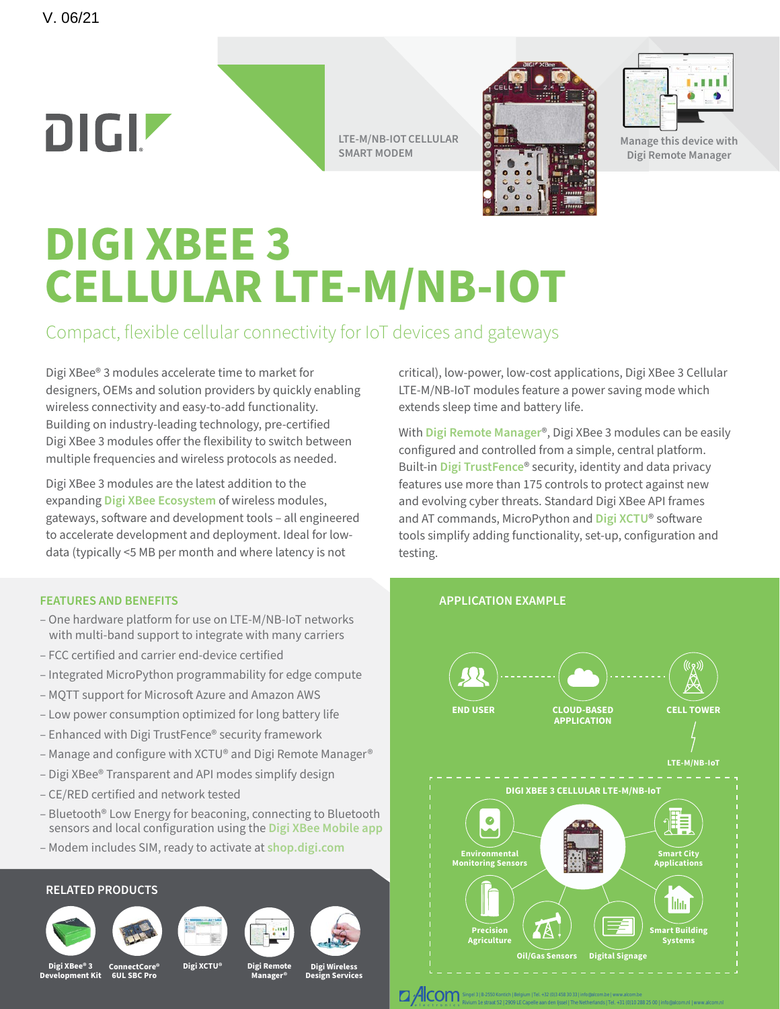# DIGIZ

**LTE-M/NB-IOT CELLULAR SMART MODEM** 





**Manage this device with Digi Remote Manager**

## **DIGI XBEE 3 CELLULAR LTE-M/NB-IOT**

## Compact, flexible cellular connectivity for IoT devices and gateways

Digi XBee® 3 modules accelerate time to market for designers, OEMs and solution providers by quickly enabling wireless connectivity and easy-to-add functionality. Building on industry-leading technology, pre-certified Digi XBee 3 modules offer the flexibility to switch between multiple frequencies and wireless protocols as needed.

Digi XBee 3 modules are the latest addition to the expanding **[Digi XBee Ecosystem](https://www.digi.com/xbee)** of wireless modules, gateways, software and development tools – all engineered to accelerate development and deployment. Ideal for lowdata (typically <5 MB per month and where latency is not

#### **FEATURES AND BENEFITS**

- One hardware platform for use on LTE-M/NB-IoT networks with multi-band support to integrate with many carriers
- FCC certified and carrier end-device certified
- Integrated MicroPython programmability for edge compute
- MQTT support for Microsoft Azure and Amazon AWS
- Low power consumption optimized for long battery life
- Enhanced with Digi TrustFence® security framework
- Manage and configure with XCTU® and Digi Remote Manager®
- Digi XBee® Transparent and API modes simplify design
- CE/RED certified and network tested
- Bluetooth® Low Energy for beaconing, connecting to Bluetooth sensors and local configuration using the **[Digi XBee Mobile app](https://www.digi.com/products/embedded-systems/digi-xbee/digi-xbee-tools/digi-xbee-mobile-app)**
- Modem includes SIM, ready to activate at **[shop.digi.com](https://shop.digi.com)**

#### **RELATED PRODUCTS**







**Digi XCTU®**





**Digi Remote Digi Wireless Design Services**

**Manager®**

critical), low-power, low-cost applications, Digi XBee 3 Cellular LTE-M/NB-IoT modules feature a power saving mode which extends sleep time and battery life.

With **[Digi Remote Manager](https://www.digi.com/products/iot-software-services/digi-remote-manager)**®, Digi XBee 3 modules can be easily configured and controlled from a simple, central platform. Built-in **[Digi TrustFence](https://www.digi.com/resources/standards-and-technologies/trustfence)**® security, identity and data privacy features use more than 175 controls to protect against new and evolving cyber threats. Standard Digi XBee API frames and AT commands, MicroPython and **[Digi XCTU](https://www.digi.com/products/embedded-systems/digi-xbee/digi-xbee-tools/xctu)**® software tools simplify adding functionality, set-up, configuration and testing.



**Digi XBee® 3 Development Kit ConnectCore® 6UL SBC Pro**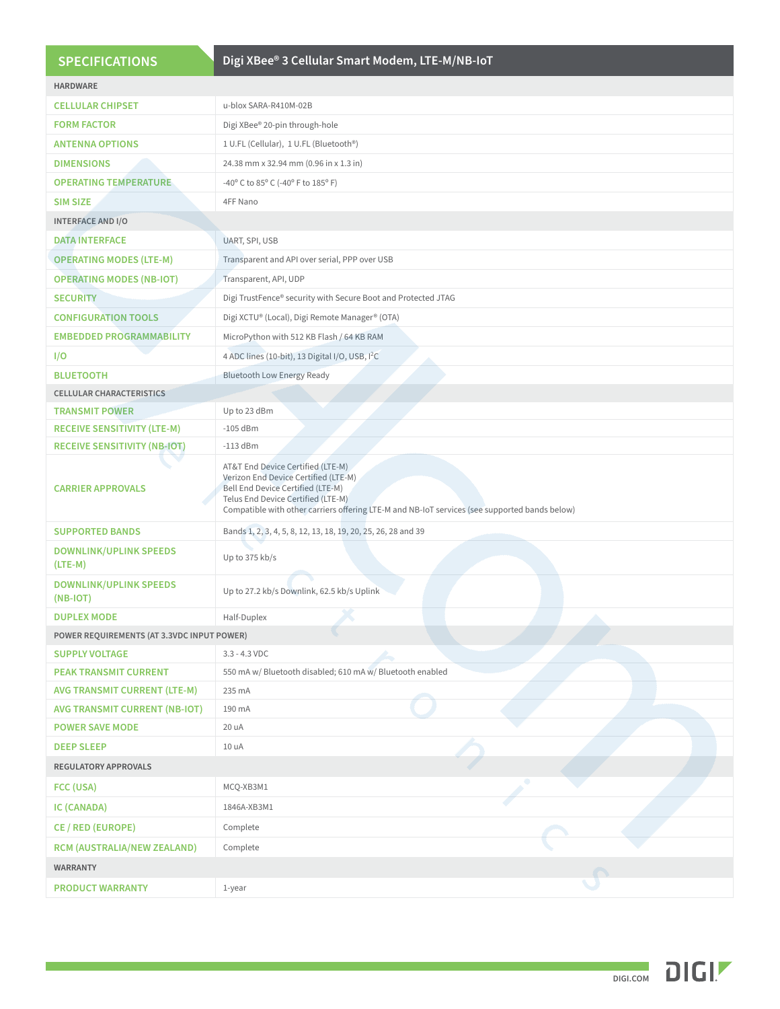| <b>SPECIFICATIONS</b>                       | Digi XBee® 3 Cellular Smart Modem, LTE-M/NB-IoT                                                                                                                                                                                                       |
|---------------------------------------------|-------------------------------------------------------------------------------------------------------------------------------------------------------------------------------------------------------------------------------------------------------|
| <b>HARDWARE</b>                             |                                                                                                                                                                                                                                                       |
| <b>CELLULAR CHIPSET</b>                     | u-blox SARA-R410M-02B                                                                                                                                                                                                                                 |
| <b>FORM FACTOR</b>                          | Digi XBee® 20-pin through-hole                                                                                                                                                                                                                        |
| <b>ANTENNA OPTIONS</b>                      | 1 U.FL (Cellular), 1 U.FL (Bluetooth®)                                                                                                                                                                                                                |
| <b>DIMENSIONS</b>                           | 24.38 mm x 32.94 mm (0.96 in x 1.3 in)                                                                                                                                                                                                                |
| <b>OPERATING TEMPERATURE</b>                | -40° C to 85° C (-40° F to 185° F)                                                                                                                                                                                                                    |
| <b>SIM SIZE</b>                             | 4FF Nano                                                                                                                                                                                                                                              |
| <b>INTERFACE AND I/O</b>                    |                                                                                                                                                                                                                                                       |
| <b>DATA INTERFACE</b>                       | UART, SPI, USB                                                                                                                                                                                                                                        |
| <b>OPERATING MODES (LTE-M)</b>              | Transparent and API over serial, PPP over USB                                                                                                                                                                                                         |
| <b>OPERATING MODES (NB-IOT)</b>             | Transparent, API, UDP                                                                                                                                                                                                                                 |
| <b>SECURITY</b>                             | Digi TrustFence® security with Secure Boot and Protected JTAG                                                                                                                                                                                         |
| <b>CONFIGURATION TOOLS</b>                  | Digi XCTU® (Local), Digi Remote Manager® (OTA)                                                                                                                                                                                                        |
| <b>EMBEDDED PROGRAMMABILITY</b>             | MicroPython with 512 KB Flash / 64 KB RAM                                                                                                                                                                                                             |
| I/O                                         | 4 ADC lines (10-bit), 13 Digital I/O, USB, I <sup>2</sup> C                                                                                                                                                                                           |
| <b>BLUETOOTH</b>                            | <b>Bluetooth Low Energy Ready</b>                                                                                                                                                                                                                     |
| <b>CELLULAR CHARACTERISTICS</b>             |                                                                                                                                                                                                                                                       |
| <b>TRANSMIT POWER</b>                       | Up to 23 dBm                                                                                                                                                                                                                                          |
| <b>RECEIVE SENSITIVITY (LTE-M)</b>          | $-105$ dBm                                                                                                                                                                                                                                            |
| <b>RECEIVE SENSITIVITY (NB-IOT)</b>         | $-113$ dBm                                                                                                                                                                                                                                            |
| <b>CARRIER APPROVALS</b>                    | AT&T End Device Certified (LTE-M)<br>Verizon End Device Certified (LTE-M)<br>Bell End Device Certified (LTE-M)<br>Telus End Device Certified (LTE-M)<br>Compatible with other carriers offering LTE-M and NB-IoT services (see supported bands below) |
| <b>SUPPORTED BANDS</b>                      | Bands 1, 2, 3, 4, 5, 8, 12, 13, 18, 19, 20, 25, 26, 28 and 39                                                                                                                                                                                         |
| <b>DOWNLINK/UPLINK SPEEDS</b><br>$(LTE-M)$  | Up to 375 kb/s                                                                                                                                                                                                                                        |
| <b>DOWNLINK/UPLINK SPEEDS</b><br>$(NB-IOT)$ | Up to 27.2 kb/s Downlink, 62.5 kb/s Uplink                                                                                                                                                                                                            |
| <b>DUPLEX MODE</b>                          | Half-Duplex                                                                                                                                                                                                                                           |
| POWER REQUIREMENTS (AT 3.3VDC INPUT POWER)  |                                                                                                                                                                                                                                                       |
| <b>SUPPLY VOLTAGE</b>                       | $3.3 - 4.3$ VDC                                                                                                                                                                                                                                       |
| <b>PEAK TRANSMIT CURRENT</b>                | 550 mA w/ Bluetooth disabled; 610 mA w/ Bluetooth enabled                                                                                                                                                                                             |
| <b>AVG TRANSMIT CURRENT (LTE-M)</b>         | 235 mA                                                                                                                                                                                                                                                |
| <b>AVG TRANSMIT CURRENT (NB-IOT)</b>        | 190 mA                                                                                                                                                                                                                                                |
| <b>POWER SAVE MODE</b>                      | 20 uA                                                                                                                                                                                                                                                 |
| <b>DEEP SLEEP</b>                           | 10 uA                                                                                                                                                                                                                                                 |
| <b>REGULATORY APPROVALS</b>                 |                                                                                                                                                                                                                                                       |
| FCC (USA)                                   | MCQ-XB3M1                                                                                                                                                                                                                                             |
| IC (CANADA)                                 | 1846A-XB3M1                                                                                                                                                                                                                                           |
| CE / RED (EUROPE)                           | Complete                                                                                                                                                                                                                                              |
| <b>RCM (AUSTRALIA/NEW ZEALAND)</b>          | Complete                                                                                                                                                                                                                                              |
| <b>WARRANTY</b>                             |                                                                                                                                                                                                                                                       |
| <b>PRODUCT WARRANTY</b>                     | 1-year                                                                                                                                                                                                                                                |

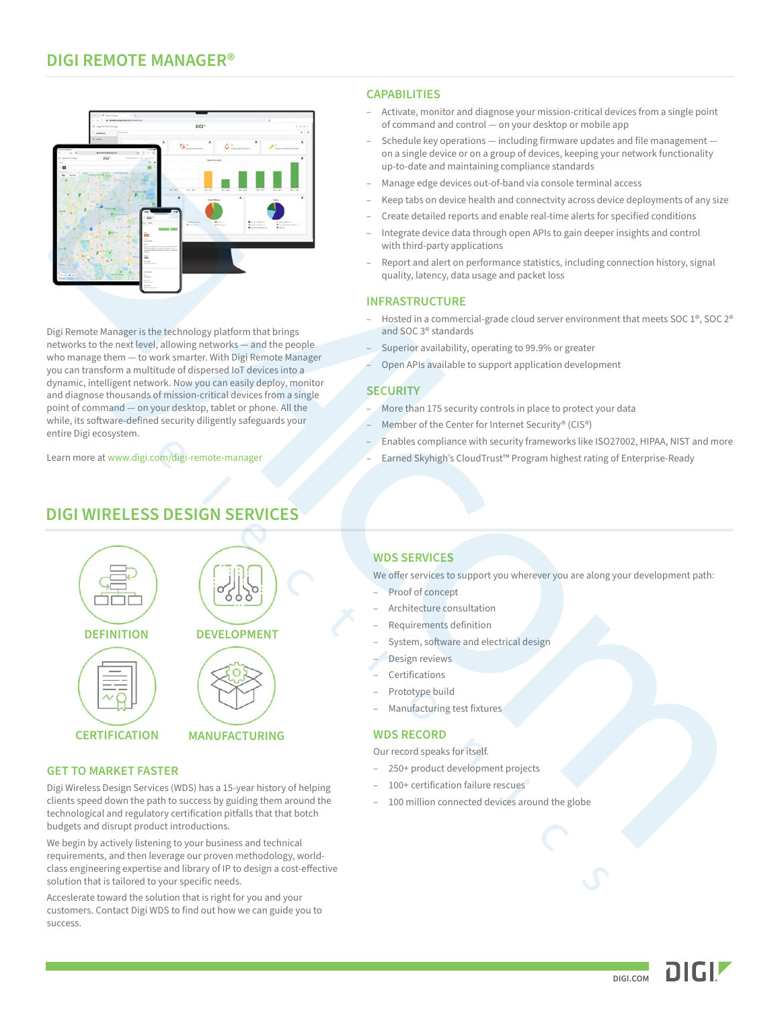#### **Digi XBee 3 Cellular Smart Modem, LTE-M/NB-IoT DIGI REMOTE MANAGER®**



Digi Remote Manager is the technology platform that brings networks to the next level, allowing networks — and the people who manage them — to work smarter. With Digi Remote Manager you can transform a multitude of dispersed IoT devices into a dynamic, intelligent network. Now you can easily deploy, monitor and diagnose thousands of mission-critical devices from a single point of command — on your desktop, tablet or phone. All the while, its software-defined security diligently safeguards your entire Digi ecosystem.

Learn more at [www.digi.com/digi-remote-manager](https://www.digi.com/digi-remote-manager)

## **DIGI WIRELESS DESIGN SERVICES**



#### **GET TO MARKET FASTER**

Digi Wireless Design Services (WDS) has a 15-year history of helping clients speed down the path to success by guiding them around the technological and regulatory certification pitfalls that that botch budgets and disrupt product introductions.

We begin by actively listening to your business and technical requirements, and then leverage our proven methodology, worldclass engineering expertise and library of IP to design a cost-effective solution that is tailored to your specific needs.

Acceslerate toward the solution that is right for you and your customers. Contact Digi WDS to find out how we can guide you to success.

#### **CAPABILITIES**

- Activate, monitor and diagnose your mission-critical devices from a single point of command and control — on your desktop or mobile app
- Schedule key operations including firmware updates and file management on a single device or on a group of devices, keeping your network functionality up-to-date and maintaining compliance standards
- Manage edge devices out-of-band via console terminal access
- Keep tabs on device health and connectvity across device deployments of any size
- Create detailed reports and enable real-time alerts for specified conditions
- Integrate device data through open APIs to gain deeper insights and control with third-party applications
- Report and alert on performance statistics, including connection history, signal quality, latency, data usage and packet loss

#### **INFRASTRUCTURE**

- Hosted in a commercial-grade cloud server environment that meets SOC 1®, SOC 2® and SOC 3® standards
- Superior availability, operating to 99.9% or greater
- Open APIs available to support application development

#### **SECURITY**

- More than 175 security controls in place to protect your data
- Member of the Center for Internet Security® (CIS®)
- Enables compliance with security frameworks like ISO27002, HIPAA, NIST and more
- Earned Skyhigh's CloudTrust™ Program highest rating of Enterprise-Ready

#### **WDS SERVICES**

We offer services to support you wherever you are along your development path:

- Proof of concept
- Architecture consultation
- Requirements definition
- System, software and electrical design
- Design reviews
- **Certifications**
- Prototype build
- Manufacturing test fixtures

#### **WDS RECORD**

Our record speaks for itself.

- 250+ product development projects
- 100+ certification failure rescues
- 100 million connected devices around the globe